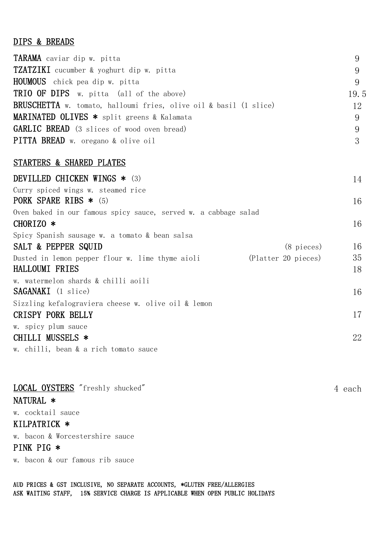## DIPS & BREADS

| TARAMA caviar dip w. pitta                                               | 9    |
|--------------------------------------------------------------------------|------|
| <b>TZATZIKI</b> cucumber & yoghurt dip w. pitta                          | 9    |
| <b>HOUMOUS</b> chick pea dip w. pitta                                    | 9    |
| <b>TRIO OF DIPS</b> w. pitta (all of the above)                          | 19.5 |
| <b>BRUSCHETTA</b> w. tomato, halloumi fries, olive oil & basil (1 slice) | 12   |
| MARINATED OLIVES * split greens & Kalamata                               | 9    |
| <b>GARLIC BREAD</b> (3 slices of wood oven bread)                        | 9    |
| PITTA BREAD w. oregano & olive oil                                       | 3    |
|                                                                          |      |

#### STARTERS & SHARED PLATES

| DEVILLED CHICKEN WINGS * (3)                                            | 14 |
|-------------------------------------------------------------------------|----|
| Curry spiced wings w. steamed rice<br>PORK SPARE RIBS $*$ (5)           | 16 |
| Oven baked in our famous spicy sauce, served w. a cabbage salad         |    |
| CHORIZO $*$                                                             | 16 |
| Spicy Spanish sausage w. a tomato & bean salsa                          |    |
| SALT & PEPPER SQUID<br>(8 pieces)                                       | 16 |
| (Platter 20 pieces)<br>Dusted in lemon pepper flour w. lime thyme aioli | 35 |
| HALLOUMI FRIES                                                          | 18 |
| w. watermelon shards & chilli aoili                                     |    |
| <b>SAGANAKI</b> (1 slice)                                               | 16 |
| Sizzling kefalograviera cheese w. olive oil & lemon                     |    |
| <b>CRISPY PORK BELLY</b>                                                | 17 |
| w. spicy plum sauce                                                     |    |
| CHILLI MUSSELS *                                                        | 22 |
| w. chilli, bean & a rich tomato sauce                                   |    |

| LOCAL OYSTERS "freshly shucked" | 4 each |
|---------------------------------|--------|
| NATURAL *                       |        |
| w. cocktail sauce               |        |
| KILPATRICK *                    |        |
| w. bacon & Worcestershire sauce |        |
| PINK PIG $*$                    |        |
| w. bacon & our famous rib sauce |        |

AUD PRICES & GST INCLUSIVE, NO SEPARATE ACCOUNTS, \*GLUTEN FREE/ALLERGIES ASK WAITING STAFF, 15% SERVICE CHARGE IS APPLICABLE WHEN OPEN PUBLIC HOLIDAYS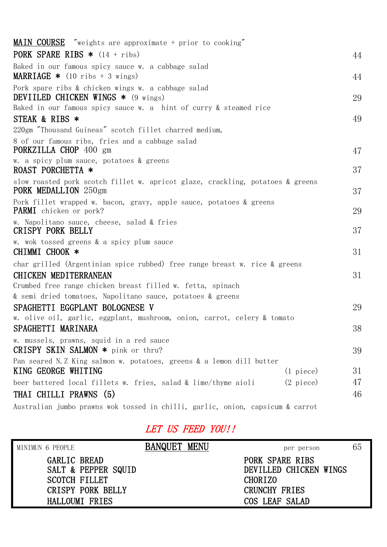| <b>MAIN COURSE</b> "weights are approximate + prior to cooking"                                        |                     |    |
|--------------------------------------------------------------------------------------------------------|---------------------|----|
| <b>PORK SPARE RIBS *</b> $(14 + ribs)$                                                                 |                     | 44 |
| Baked in our famous spicy sauce w. a cabbage salad<br><b>MARRIAGE *</b> (10 ribs + 3 wings)            |                     | 44 |
| Pork spare ribs & chicken wings w. a cabbage salad<br>DEVIILED CHICKEN WINGS $*$ (9 wings)             |                     | 29 |
| Baked in our famous spicy sauce w. a hint of curry & steamed rice                                      |                     |    |
| STEAK & RIBS *                                                                                         |                     | 49 |
| 220gm "Thousand Guineas" scotch fillet charred medium,                                                 |                     |    |
| 8 of our famous ribs, fries and a cabbage salad<br>PORKZILLA CHOP 400 gm                               |                     | 47 |
| w. a spicy plum sauce, potatoes & greens<br>ROAST PORCHETTA *                                          |                     | 37 |
| slow roasted pork scotch fillet w. apricot glaze, crackling, potatoes & greens<br>PORK MEDALLION 250gm |                     | 37 |
| Pork fillet wrapped w. bacon, gravy, apple sauce, potatoes & greens<br><b>PARMI</b> chicken or pork?   |                     | 29 |
| w. Napolitano sauce, cheese, salad & fries<br><b>CRISPY PORK BELLY</b>                                 |                     | 37 |
| w. wok tossed greens & a spicy plum sauce<br>CHIMMI CHOOK *                                            |                     | 31 |
| char grilled (Argentinian spice rubbed) free range breast w. rice & greens                             |                     |    |
| CHICKEN MEDITERRANEAN                                                                                  |                     | 31 |
| Crumbed free range chicken breast filled w. fetta, spinach                                             |                     |    |
| & semi dried tomatoes, Napolitano sauce, potatoes & greens                                             |                     |    |
| SPAGHETTI EGGPLANT BOLOGNESE V                                                                         |                     | 29 |
| w. olive oil, garlic, eggplant, mushroom, onion, carrot, celery & tomato                               |                     |    |
| SPAGHETTI MARINARA                                                                                     |                     | 38 |
| w. mussels, prawns, squid in a red sauce                                                               |                     |    |
| CRISPY SKIN SALMON * pink or thru?                                                                     |                     | 39 |
| Pan seared N.Z King salmon w. potatoes, greens & a lemon dill butter                                   |                     |    |
| KING GEORGE WHITING                                                                                    | $(1)$ piece)        | 31 |
| beer battered local fillets w. fries, salad & lime/thyme aioli                                         | $(2 \text{ piece})$ | 47 |
| THAI CHILLI PRAWNS (5)                                                                                 |                     | 46 |
| Australian jumbo prawns wok tossed in chilli, garlic, onion, capsicum & carrot                         |                     |    |

# LET US FEED YOU!!

| MINIMUN 6 PEOPLE                     |                                                 | <b>BANQUET MENU</b> | per person                                                                   | 65 |
|--------------------------------------|-------------------------------------------------|---------------------|------------------------------------------------------------------------------|----|
| GARLIC BREAD<br><b>SCOTCH FILLET</b> | SALT & PEPPER SQUID<br><b>CRISPY PORK BELLY</b> |                     | PORK SPARE RIBS<br>DEVILLED CHICKEN WINGS<br><b>CHORIZO</b><br>CRUNCHY FRIES |    |
|                                      | HALLOUMI FRIES                                  |                     | COS LEAF SALAD                                                               |    |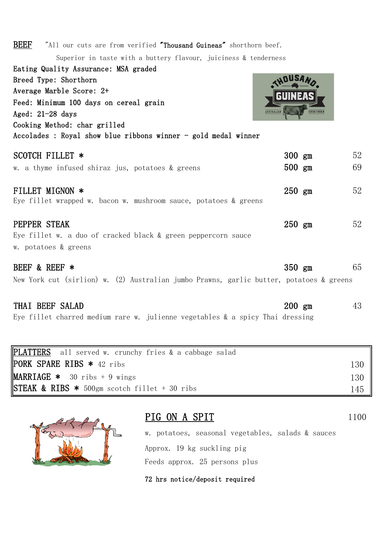| <b>BEEF</b><br>"All our cuts are from verified "Thousand Guineas" shorthorn beef.       |          |                  |    |
|-----------------------------------------------------------------------------------------|----------|------------------|----|
| Superior in taste with a buttery flavour, juiciness & tenderness                        |          |                  |    |
| Eating Quality Assurance: MSA graded                                                    |          |                  |    |
| Breed Type: Shorthorn                                                                   |          |                  |    |
| Average Marble Score: 2+                                                                |          |                  |    |
| Feed: Minimum 100 days on cereal grain                                                  |          |                  |    |
| <b>AUSTRALIAN</b><br>Aged: $21-28$ days                                                 |          | <b>SHORTHORN</b> |    |
| Cooking Method: char grilled                                                            |          |                  |    |
| Accolades : Royal show blue ribbons winner - gold medal winner                          |          |                  |    |
| SCOTCH FILLET *                                                                         | $300$ gm |                  | 52 |
| w. a thyme infused shiraz jus, potatoes & greens                                        | $500$ gm |                  | 69 |
| FILLET MIGNON *                                                                         | $250$ gm |                  | 52 |
| Eye fillet wrapped w. bacon w. mushroom sauce, potatoes & greens                        |          |                  |    |
| PEPPER STEAK                                                                            | $250$ gm |                  | 52 |
| Eye fillet w. a duo of cracked black & green peppercorn sauce                           |          |                  |    |
| w. potatoes & greens                                                                    |          |                  |    |
| BEEF & REEF *                                                                           | $350$ gm |                  | 65 |
| New York cut (sirlion) w. (2) Australian jumbo Prawns, garlic butter, potatoes & greens |          |                  |    |
| THAI BEEF SALAD                                                                         | $200$ gm |                  | 43 |

Eye fillet charred medium rare w. julienne vegetables & a spicy Thai dressing

| PLATTERS all served w. crunchy fries & a cabbage salad              |     |
|---------------------------------------------------------------------|-----|
| PORK SPARE RIBS * 42 ribs                                           | 130 |
| <b>MARRIAGE *</b> 30 ribs $+9$ wings                                | 130 |
| $\textsf{ISTEAK}$ & RIBS $\textbf{*}$ 500gm scotch fillet + 30 ribs | 145 |



## PIG ON A SPIT 1100

w. potatoes, seasonal vegetables, salads & sauces Approx. 19 kg suckling pig Feeds approx. 25 persons plus

72 hrs notice/deposit required